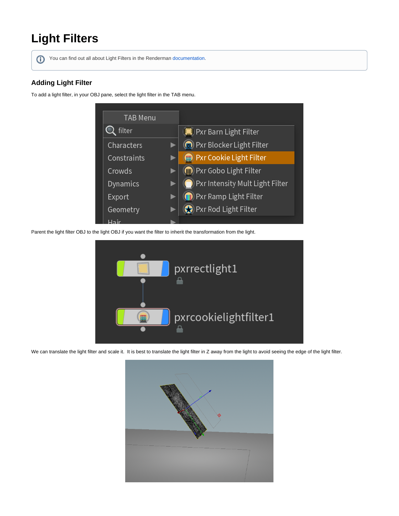## **Light Filters**

You can find out all about Light Filters in the Renderman [documentation](https://rmanwiki.pixar.com/display/REN22/Light+Filters).

## **Adding Light Filter**

To add a light filter, in your OBJ pane, select the light filter in the TAB menu.



Parent the light filter OBJ to the light OBJ if you want the filter to inherit the transformation from the light.



We can translate the light filter and scale it. It is best to translate the light filter in Z away from the light to avoid seeing the edge of the light filter.

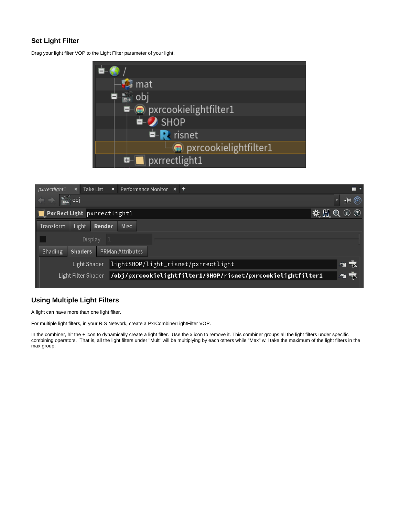## **Set Light Filter**

Drag your light filter VOP to the Light Filter parameter of your light.





## **Using Multiple Light Filters**

A light can have more than one light filter.

For multiple light filters, in your RIS Network, create a PxrCombinerLightFilter VOP.

In the combiner, hit the + icon to dynamically create a light filter. Use the x icon to remove it. This combiner groups all the light filters under specific combining operators. That is, all the light filters under "Mult" will be multiplying by each others while "Max" will take the maximum of the light filters in the max group.